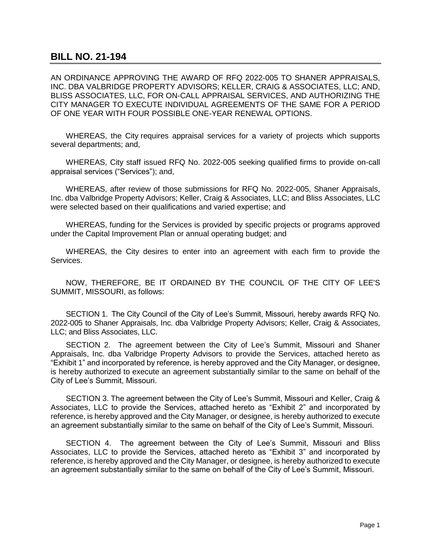## **BILL NO. 21-194**

AN ORDINANCE APPROVING THE AWARD OF RFQ 2022-005 TO SHANER APPRAISALS, INC. DBA VALBRIDGE PROPERTY ADVISORS; KELLER, CRAIG & ASSOCIATES, LLC; AND, BLISS ASSOCIATES, LLC, FOR ON-CALL APPRAISAL SERVICES, AND AUTHORIZING THE CITY MANAGER TO EXECUTE INDIVIDUAL AGREEMENTS OF THE SAME FOR A PERIOD OF ONE YEAR WITH FOUR POSSIBLE ONE-YEAR RENEWAL OPTIONS.

WHEREAS, the City requires appraisal services for a variety of projects which supports several departments; and,

WHEREAS, City staff issued RFQ No. 2022-005 seeking qualified firms to provide on-call appraisal services ("Services"); and,

WHEREAS, after review of those submissions for RFQ No. 2022-005, Shaner Appraisals, Inc. dba Valbridge Property Advisors; Keller, Craig & Associates, LLC; and Bliss Associates, LLC were selected based on their qualifications and varied expertise; and

WHEREAS, funding for the Services is provided by specific projects or programs approved under the Capital Improvement Plan or annual operating budget; and

WHEREAS, the City desires to enter into an agreement with each firm to provide the Services.

NOW, THEREFORE, BE IT ORDAINED BY THE COUNCIL OF THE ClTY OF LEE'S SUMMIT, MISSOURI, as follows:

SECTION 1. The City Council of the City of Lee's Summit, Missouri, hereby awards RFQ No. 2022-005 to Shaner Appraisals, Inc. dba Valbridge Property Advisors; Keller, Craig & Associates, LLC; and Bliss Associates, LLC.

SECTION 2. The agreement between the City of Lee's Summit, Missouri and Shaner Appraisals, Inc. dba Valbridge Property Advisors to provide the Services, attached hereto as "Exhibit 1" and incorporated by reference, is hereby approved and the City Manager, or designee, is hereby authorized to execute an agreement substantially similar to the same on behalf of the City of Lee's Summit, Missouri.

SECTION 3. The agreement between the City of Lee's Summit, Missouri and Keller, Craig & Associates, LLC to provide the Services, attached hereto as "Exhibit 2" and incorporated by reference, is hereby approved and the City Manager, or designee, is hereby authorized to execute an agreement substantially similar to the same on behalf of the City of Lee's Summit, Missouri.

SECTION 4. The agreement between the City of Lee's Summit, Missouri and Bliss Associates, LLC to provide the Services, attached hereto as "Exhibit 3" and incorporated by reference, is hereby approved and the City Manager, or designee, is hereby authorized to execute an agreement substantially similar to the same on behalf of the City of Lee's Summit, Missouri.